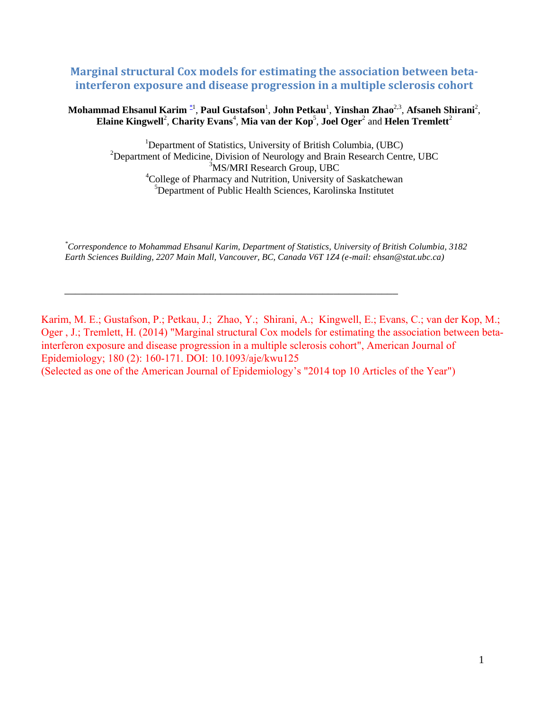# **Marginal structural Cox models for estimating the association between betainterferon exposure and disease progression in a multiple sclerosis cohort**

### **Mohammad Ehsanul Karim** \*1 , **Paul Gustafson**<sup>1</sup> , **John Petkau**<sup>1</sup> , **Yinshan Zhao**2,3 , **Afsaneh Shirani**<sup>2</sup> ,  $\boldsymbol{\mathrm{E}}$ laine Kingwell<sup>2</sup>, Charity Evans<sup>4</sup>, Mia van der Kop<sup>5</sup>, Joel Oger<sup>2</sup> and Helen Tremlett<sup>2</sup>

<sup>1</sup>Department of Statistics, University of British Columbia, (UBC) <sup>2</sup>Department of Medicine, Division of Neurology and Brain Research Centre, UBC <sup>3</sup>MS/MRI Research Group, UBC <sup>4</sup>College of Pharmacy and Nutrition, University of Saskatchewan <sup>5</sup>Department of Public Health Sciences, Karolinska Institutet

*\*Correspondence to Mohammad Ehsanul Karim, Department of Statistics, University of British Columbia, 3182 Earth Sciences Building, 2207 Main Mall, Vancouver, BC, Canada V6T 1Z4 (e-mail: ehsan@stat.ubc.ca)* 

\_\_\_\_\_\_\_\_\_\_\_\_\_\_\_\_\_\_\_\_\_\_\_\_\_\_\_\_\_\_\_\_\_\_\_\_\_\_\_\_\_\_\_\_\_\_\_\_\_\_\_\_\_\_\_\_\_\_\_\_\_\_

Karim, M. E.; Gustafson, P.; Petkau, J.; Zhao, Y.; Shirani, A.; Kingwell, E.; Evans, C.; van der Kop, M.; Oger , J.; Tremlett, H. (2014) "Marginal structural Cox models for estimating the association between betainterferon exposure and disease progression in a multiple sclerosis cohort", American Journal of Epidemiology; 180 (2): 160-171. DOI: 10.1093/aje/kwu125 (Selected as one of the American Journal of Epidemiology's "2014 top 10 Articles of the Year")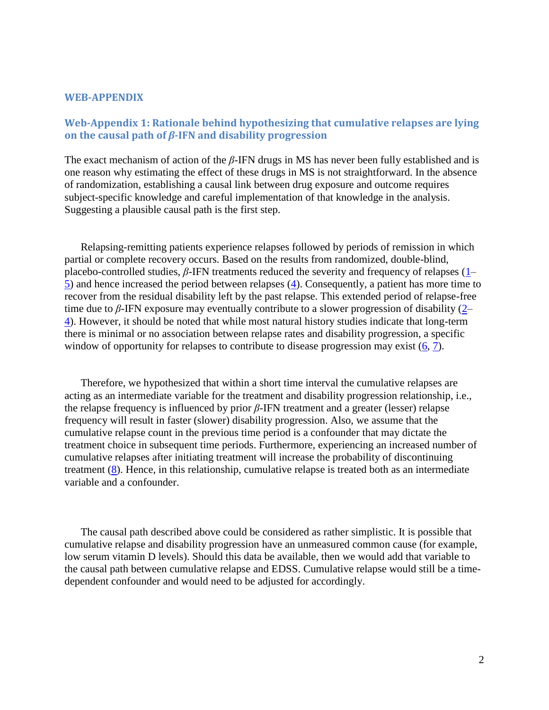#### **WEB-APPENDIX**

## **Web-Appendix 1: Rationale behind hypothesizing that cumulative relapses are lying on the causal path of** *β***-IFN and disability progression**

The exact mechanism of action of the *β*-IFN drugs in MS has never been fully established and is one reason why estimating the effect of these drugs in MS is not straightforward. In the absence of randomization, establishing a causal link between drug exposure and outcome requires subject-specific knowledge and careful implementation of that knowledge in the analysis. Suggesting a plausible causal path is the first step.

Relapsing-remitting patients experience relapses followed by periods of remission in which partial or complete recovery occurs. Based on the results from randomized, double-blind, placebo-controlled studies, *β*-IFN treatments reduced the severity and frequency of relapses (1–  $\overline{5}$ ) and hence increased the period between relapses ( $\overline{4}$ ). Consequently, a patient has more time to recover from the residual disability left by the past relapse. This extended period of relapse-free time due to *β*-IFN exposure may eventually contribute to a slower progression of disability (2– 4). However, it should be noted that while most natural history studies indicate that long-term there is minimal or no association between relapse rates and disability progression, a specific window of opportunity for relapses to contribute to disease progression may exist  $(6, 7)$ .

Therefore, we hypothesized that within a short time interval the cumulative relapses are acting as an intermediate variable for the treatment and disability progression relationship, i.e., the relapse frequency is influenced by prior *β*-IFN treatment and a greater (lesser) relapse frequency will result in faster (slower) disability progression. Also, we assume that the cumulative relapse count in the previous time period is a confounder that may dictate the treatment choice in subsequent time periods. Furthermore, experiencing an increased number of cumulative relapses after initiating treatment will increase the probability of discontinuing treatment (8). Hence, in this relationship, cumulative relapse is treated both as an intermediate variable and a confounder.

The causal path described above could be considered as rather simplistic. It is possible that cumulative relapse and disability progression have an unmeasured common cause (for example, low serum vitamin D levels). Should this data be available, then we would add that variable to the causal path between cumulative relapse and EDSS. Cumulative relapse would still be a timedependent confounder and would need to be adjusted for accordingly.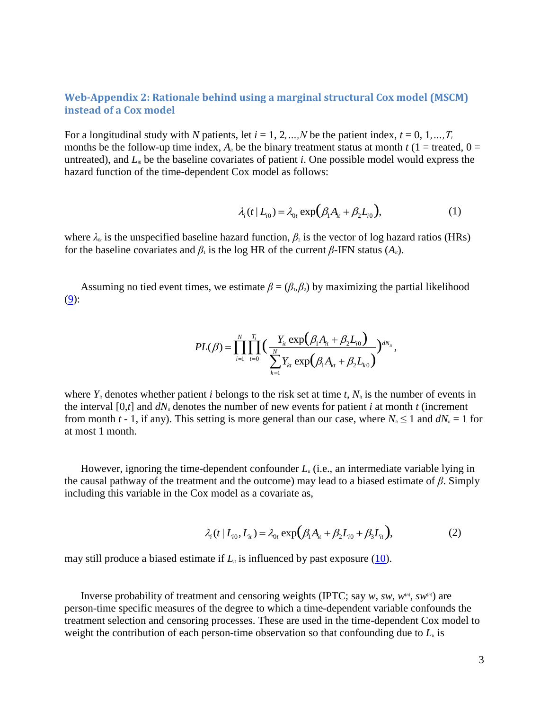### **Web-Appendix 2: Rationale behind using a marginal structural Cox model (MSCM) instead of a Cox model**

For a longitudinal study with *N* patients, let  $i = 1, 2, ..., N$  be the patient index,  $t = 0, 1, ..., T_i$ months be the follow-up time index,  $A_i$  be the binary treatment status at month  $t(1 = \text{treated}, 0 =$ untreated), and  $L<sub>0</sub>$  be the baseline covariates of patient *i*. One possible model would express the hazard function of the time-dependent Cox model as follows:

$$
\lambda_i(t \mid L_{i0}) = \lambda_{0t} \exp\left(\beta_1 A_{it} + \beta_2 L_{i0}\right),\tag{1}
$$

where  $\lambda_{\alpha}$  is the unspecified baseline hazard function,  $\beta_2$  is the vector of log hazard ratios (HRs) for the baseline covariates and  $\beta_1$  is the log HR of the current  $\beta$ -IFN status  $(A_i)$ .

Assuming no tied event times, we estimate  $\beta = (\beta_1, \beta_2)$  by maximizing the partial likelihood  $(9)$ :

$$
PL(\beta) = \prod_{i=1}^N \prod_{t=0}^{T_i} \Big( \frac{Y_{it} \exp(\beta_1 A_{it} + \beta_2 L_{i0})}{\sum_{k=1}^N Y_{kt} \exp(\beta_1 A_{kt} + \beta_2 L_{k0})} \Big)^{dN_{it}},
$$

where  $Y_i$  denotes whether patient *i* belongs to the risk set at time *t*,  $N_i$  is the number of events in the interval  $[0,t]$  and  $dN_i$  denotes the number of new events for patient *i* at month *t* (increment from month *t* - 1, if any). This setting is more general than our case, where  $N_i \le 1$  and  $dN_i = 1$  for at most 1 month.

However, ignoring the time-dependent confounder  $L<sub>u</sub>$  (i.e., an intermediate variable lying in the causal pathway of the treatment and the outcome) may lead to a biased estimate of *β*. Simply including this variable in the Cox model as a covariate as,

$$
\lambda_i(t \mid L_{i0}, L_{i} = \lambda_{0t} \exp(\beta_1 A_{it} + \beta_2 L_{i0} + \beta_3 L_{it}),
$$
\n(2)

may still produce a biased estimate if  $L<sub>i</sub>$  is influenced by past exposure (10).

Inverse probability of treatment and censoring weights (IPTC; say  $w$ ,  $sw$ ,  $w^{\scriptscriptstyle(n)}$ ,  $sw^{\scriptscriptstyle(n)}$ ) are person-time specific measures of the degree to which a time-dependent variable confounds the treatment selection and censoring processes. These are used in the time-dependent Cox model to weight the contribution of each person-time observation so that confounding due to  $L_i$  is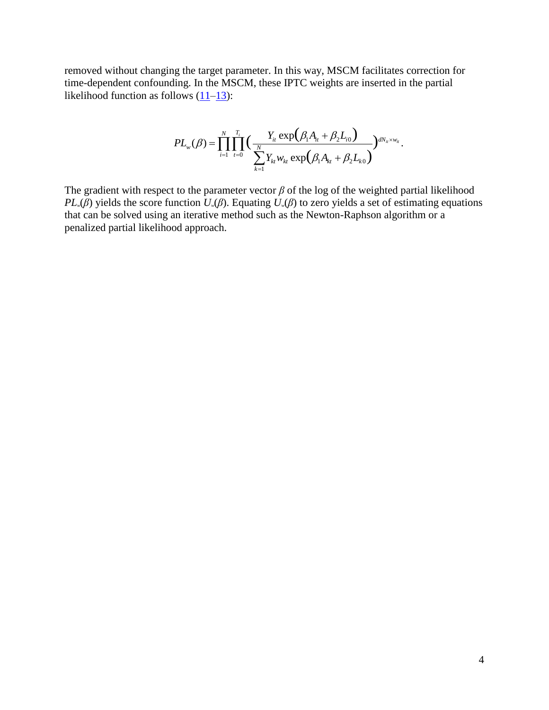removed without changing the target parameter. In this way, MSCM facilitates correction for time-dependent confounding. In the MSCM, these IPTC weights are inserted in the partial likelihood function as follows  $(11-13)$ :

lows 
$$
(11-13)
$$
:  
\n
$$
PL_{w}(\beta) = \prod_{i=1}^{N} \prod_{t=0}^{T_i} \Big( \frac{Y_{it} \exp(\beta_1 A_{it} + \beta_2 L_{i0})}{\sum_{k=1}^{N} Y_{kt} w_{kt} \exp(\beta_1 A_{kt} + \beta_2 L_{k0})} \Big)^{dN_{it} \times w_{it}}.
$$

The gradient with respect to the parameter vector  $\beta$  of the log of the weighted partial likelihood *PL*<sub>*w*</sub>( $\beta$ ) yields the score function  $U$ <sup>*w*</sup>( $\beta$ ). Equating  $U$ <sup>*w*</sup>( $\beta$ ) to zero yields a set of estimating equations that can be solved using an iterative method such as the Newton-Raphson algorithm or a penalized partial likelihood approach.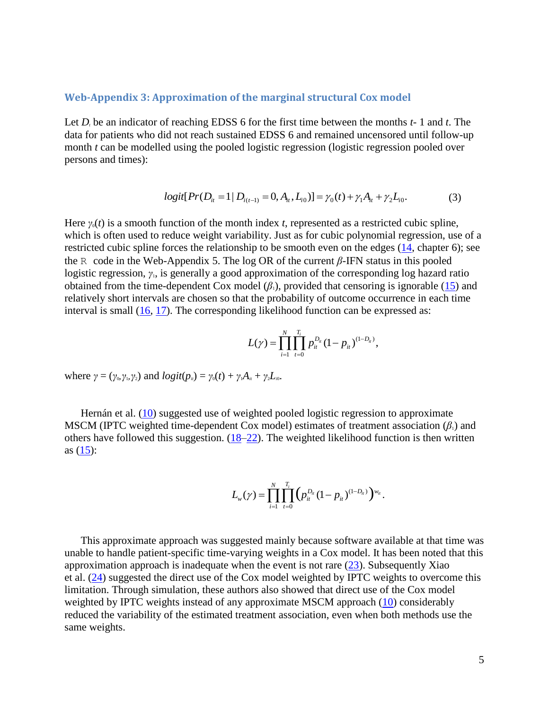#### **Web-Appendix 3: Approximation of the marginal structural Cox model**

Let  $D_t$  be an indicator of reaching EDSS 6 for the first time between the months  $t-1$  and  $t$ . The data for patients who did not reach sustained EDSS 6 and remained uncensored until follow-up month *t* can be modelled using the pooled logistic regression (logistic regression pooled over persons and times):

$$
logit[Pr(D_{i} = 1 | D_{i(t-1)} = 0, A_{i}, L_{i0})] = \gamma_0(t) + \gamma_1 A_{i} + \gamma_2 L_{i0}.
$$
 (3)

Here  $\gamma_0(t)$  is a smooth function of the month index *t*, represented as a restricted cubic spline, which is often used to reduce weight variability. Just as for cubic polynomial regression, use of a restricted cubic spline forces the relationship to be smooth even on the edges (14, chapter 6); see the R code in the Web-Appendix 5. The log OR of the current *β*-IFN status in this pooled logistic regression, *γ*<sub>1</sub>, is generally a good approximation of the corresponding log hazard ratio obtained from the time-dependent Cox model  $(\beta_1)$ , provided that censoring is ignorable (15) and relatively short intervals are chosen so that the probability of outcome occurrence in each time interval is small  $(16, 17)$ . The corresponding likelihood function can be expressed as:

$$
L(\gamma) = \prod_{i=1}^N \prod_{t=0}^{T_i} p_{it}^{D_{it}} (1-p_{it})^{(1-D_{it})},
$$

where  $\gamma = (\gamma_0, \gamma_1, \gamma_2)$  and  $logit(p_i) = \gamma_0(t) + \gamma_1 A_i + \gamma_2 L_i$ .

Hernán et al. (10) suggested use of weighted pooled logistic regression to approximate MSCM (IPTC weighted time-dependent Cox model) estimates of treatment association  $(\beta_1)$  and others have followed this suggestion.  $(18–22)$ . The weighted likelihood function is then written as  $(15)$ :

$$
L_{w}(\gamma) = \prod_{i=1}^{N} \prod_{t=0}^{T_i} (p_{ii}^{D_{ii}} (1-p_{ii})^{(1-D_{ii})})^{w_{ii}}.
$$

This approximate approach was suggested mainly because software available at that time was unable to handle patient-specific time-varying weights in a Cox model. It has been noted that this approximation approach is inadequate when the event is not rare  $(23)$ . Subsequently Xiao et al. (24) suggested the direct use of the Cox model weighted by IPTC weights to overcome this limitation. Through simulation, these authors also showed that direct use of the Cox model weighted by IPTC weights instead of any approximate MSCM approach (10) considerably reduced the variability of the estimated treatment association, even when both methods use the same weights.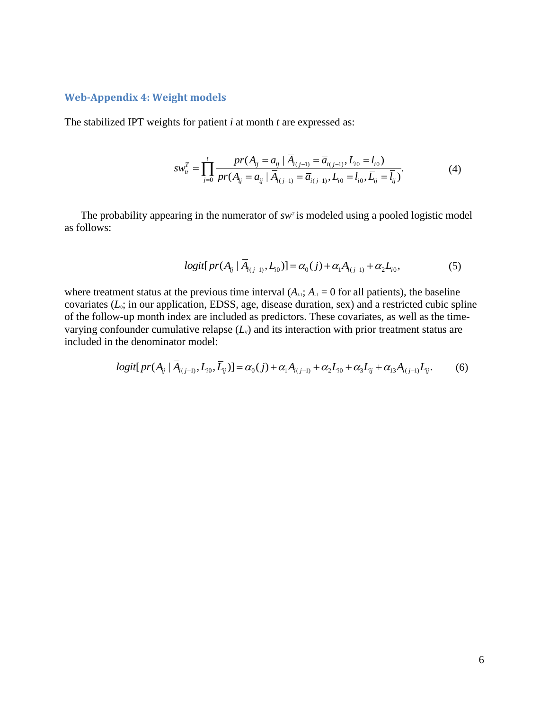#### **Web-Appendix 4: Weight models**

The stabilized IPT weights for patient *i* at month *t* are expressed as:

$$
sw_{ii}^T = \prod_{j=0}^t \frac{pr(A_{ij} = a_{ij} | \overline{A}_{i(j-1)} = \overline{a}_{i(j-1)}, L_{i0} = l_{i0})}{pr(A_{ij} = a_{ij} | \overline{A}_{i(j-1)} = \overline{a}_{i(j-1)}, L_{i0} = l_{i0}, \overline{L}_{ij} = \overline{l_{ij}})}.
$$
(4)

The probability appearing in the numerator of *sw<sup>T</sup>* is modeled using a pooled logistic model as follows:

$$
logit[pr(A_{ij} | \overline{A}_{(j-1)}, L_{i0})] = \alpha_0(j) + \alpha_1 A_{i(j-1)} + \alpha_2 L_{i0},
$$
\n(5)

where treatment status at the previous time interval  $(A_{j+1}; A_{j+1} = 0$  for all patients), the baseline covariates  $(L_0; \text{ in our application}, \text{EDSS}, \text{age}, \text{disease duration}, \text{sex})$  and a restricted cubic spline of the follow-up month index are included as predictors. These covariates, as well as the timevarying confounder cumulative relapse  $(L_{ij})$  and its interaction with prior treatment status are<br>included in the denominator model:<br> $logit[pr(A_{ij} | \overline{A}_{i(j-1)}, L_{i0}, \overline{L}_{ij})] = \alpha_0(j) + \alpha_1 A_{i(j-1)} + \alpha_2 L_{i0} + \alpha_3 L_{ij} + \alpha_{13} A_{i(j-1)} L_{$ included in the denominator model:

$$
logit[pr(A_{ij} | \overline{A}_{i(j-1)}, L_{i0}, \overline{L}_{ij})] = \alpha_0(j) + \alpha_1 A_{i(j-1)} + \alpha_2 L_{i0} + \alpha_3 L_{ij} + \alpha_{13} A_{i(j-1)} L_{ij}.
$$
 (6)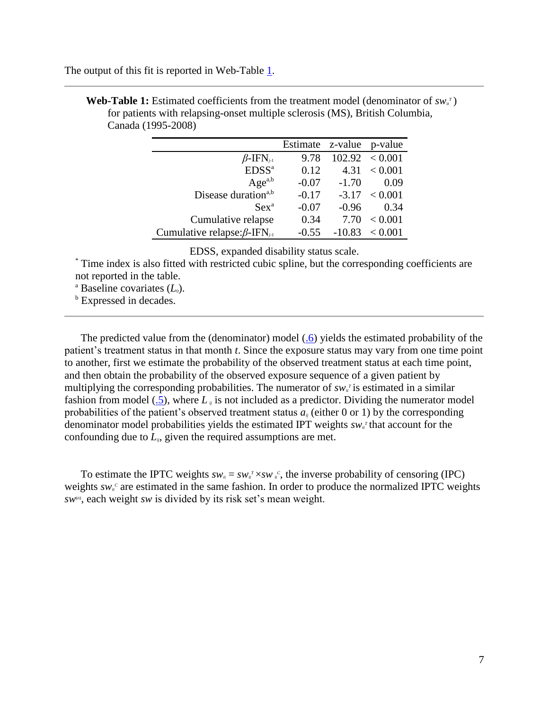The output of this fit is reported in Web-Table 1.

|                                                 | Estimate z-value |          | p-value           |
|-------------------------------------------------|------------------|----------|-------------------|
| $\beta$ -IFN <sub>i-1</sub>                     | 9.78             |          | 102.92 < 0.001    |
| EDSS <sup>a</sup>                               | 0.12             | 4.31     | ${}_{< 0.001}$    |
| $Age^{a,b}$                                     | $-0.07$          | $-1.70$  | 0.09              |
| Disease duration <sup>a,b</sup>                 | $-0.17$          |          | $-3.17 \le 0.001$ |
| $Sex^a$                                         | $-0.07$          | $-0.96$  | 0.34              |
| Cumulative relapse                              | 0.34             | 7.70     | ${}_{< 0.001}$    |
| Cumulative relapse: $\beta$ -IFN <sub>i-1</sub> | $-0.55$          | $-10.83$ | < 0.001           |

**Web-Table 1:** Estimated coefficients from the treatment model (denominator of  $sw_i^T$ ) for patients with relapsing-onset multiple sclerosis (MS), British Columbia, Canada (1995-2008)

EDSS, expanded disability status scale.

\* Time index is also fitted with restricted cubic spline, but the corresponding coefficients are not reported in the table.

<sup>a</sup> Baseline covariates  $(L_0)$ .

**b** Expressed in decades.

The predicted value from the (denominator) model (.6) yields the estimated probability of the patient's treatment status in that month *t*. Since the exposure status may vary from one time point to another, first we estimate the probability of the observed treatment status at each time point, and then obtain the probability of the observed exposure sequence of a given patient by multiplying the corresponding probabilities. The numerator of  $sw<sub>i</sub>$  is estimated in a similar fashion from model (.5), where  $L_{ii}$  is not included as a predictor. Dividing the numerator model probabilities of the patient's observed treatment status  $a_i$  (either 0 or 1) by the corresponding denominator model probabilities yields the estimated IPT weights  $sw_i^T$  that account for the confounding due to  $L_i$ , given the required assumptions are met.

To estimate the IPTC weights  $sw_i = sw_i^r \times sw_i^c$ , the inverse probability of censoring (IPC) weights  $sw_i^c$  are estimated in the same fashion. In order to produce the normalized IPTC weights *sw*(*n*) , each weight *sw* is divided by its risk set's mean weight.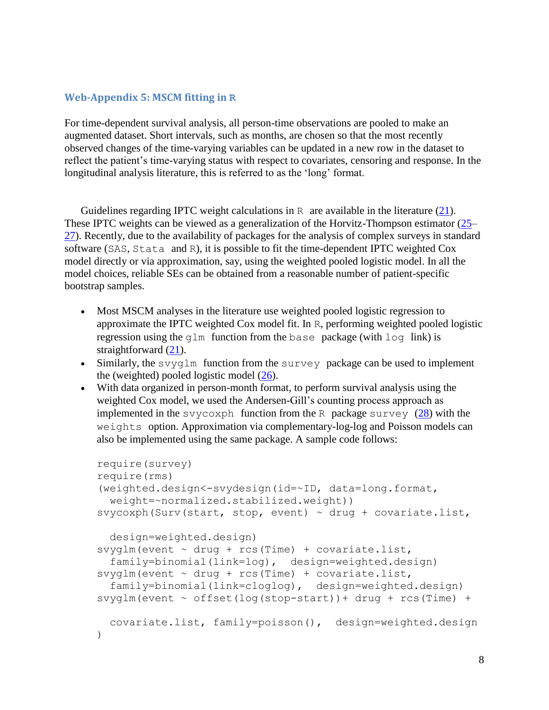## **Web-Appendix 5: MSCM fitting in R**

For time-dependent survival analysis, all person-time observations are pooled to make an augmented dataset. Short intervals, such as months, are chosen so that the most recently observed changes of the time-varying variables can be updated in a new row in the dataset to reflect the patient's time-varying status with respect to covariates, censoring and response. In the longitudinal analysis literature, this is referred to as the 'long' format.

Guidelines regarding IPTC weight calculations in R are available in the literature  $(21)$ . These IPTC weights can be viewed as a generalization of the Horvitz-Thompson estimator (25– 27). Recently, due to the availability of packages for the analysis of complex surveys in standard software (SAS, Stata and R), it is possible to fit the time-dependent IPTC weighted Cox model directly or via approximation, say, using the weighted pooled logistic model. In all the model choices, reliable SEs can be obtained from a reasonable number of patient-specific bootstrap samples.

- Most MSCM analyses in the literature use weighted pooled logistic regression to approximate the IPTC weighted Cox model fit. In R, performing weighted pooled logistic regression using the  $q \ln$  function from the base package (with  $\log$  link) is straightforward  $(21)$ .
- Similarly, the svyglm function from the survey package can be used to implement the (weighted) pooled logistic model (26).
- With data organized in person-month format, to perform survival analysis using the weighted Cox model, we used the Andersen-Gill's counting process approach as implemented in the svycoxph function from the R package survey  $(28)$  with the weights option. Approximation via complementary-log-log and Poisson models can also be implemented using the same package. A sample code follows:

```
require(survey) 
require(rms) 
(weighted.design<-svydesign(id=~ID, data=long.format, 
  weight=~normalized.stabilized.weight)) 
svycoxph(Surv(start, stop, event) \sim drug + covariate.list,
   design=weighted.design) 
svyglm(event ~ drug ~+ rcs(Time) ~+ covariate. list, family=binomial(link=log), design=weighted.design) 
svyglm(event ~ drug ~t rcs(Time) ~t covariate. list, family=binomial(link=cloglog), design=weighted.design) 
svyglm(event ~ offset(log(top-start)) + drug + rcs(Time) + covariate.list, family=poisson(), design=weighted.design
\lambda
```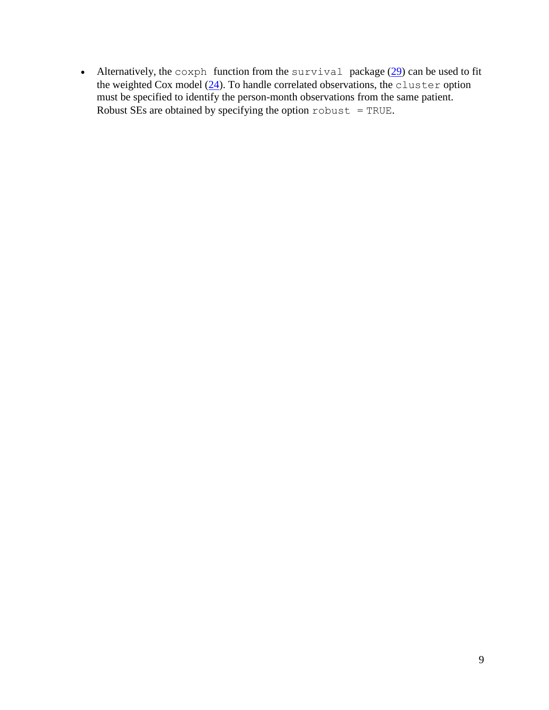• Alternatively, the coxph function from the survival package  $(29)$  can be used to fit the weighted Cox model (24). To handle correlated observations, the cluster option must be specified to identify the person-month observations from the same patient. Robust SEs are obtained by specifying the option  $\text{robust} = \text{TRUE}$ .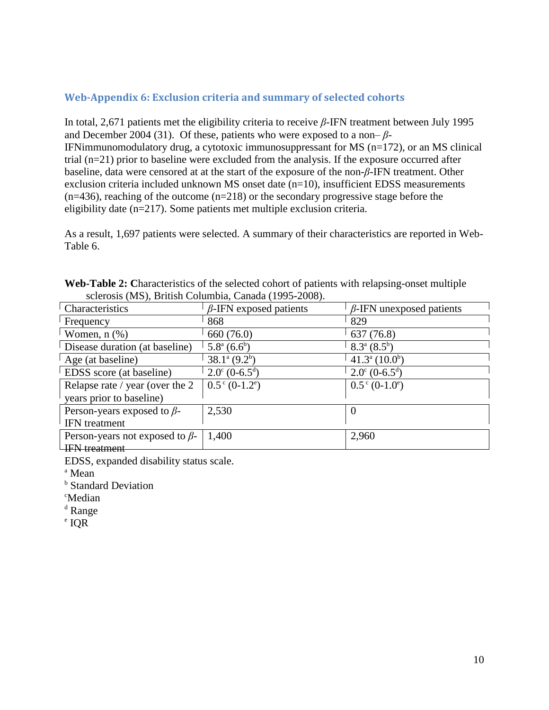# **Web-Appendix 6: Exclusion criteria and summary of selected cohorts**

In total, 2,671 patients met the eligibility criteria to receive *β*-IFN treatment between July 1995 and December 2004 (31). Of these, patients who were exposed to a non– *β*-IFNimmunomodulatory drug, a cytotoxic immunosuppressant for MS (n=172), or an MS clinical trial (n=21) prior to baseline were excluded from the analysis. If the exposure occurred after baseline, data were censored at at the start of the exposure of the non-*β*-IFN treatment. Other exclusion criteria included unknown MS onset date (n=10), insufficient EDSS measurements  $(n=436)$ , reaching of the outcome  $(n=218)$  or the secondary progressive stage before the eligibility date (n=217). Some patients met multiple exclusion criteria.

As a result, 1,697 patients were selected. A summary of their characteristics are reported in Web-Table 6.

| $\frac{1}{2}$                         |                                     |                                     |  |
|---------------------------------------|-------------------------------------|-------------------------------------|--|
| Characteristics                       | $\beta$ -IFN exposed patients       | $\beta$ -IFN unexposed patients     |  |
| Frequency                             | 868                                 | 829                                 |  |
| Women, $n$ $(\%)$                     | 660 (76.0)                          | 637 (76.8)                          |  |
| Disease duration (at baseline)        | $5.8^{\text{a}} (6.6^{\text{b}})$   | $8.3^{\text{a}} (8.5^{\text{b}})$   |  |
| Age (at baseline)                     | $38.1^{\text{a}} (9.2^{\text{b}})$  | $41.3^{\circ} (10.0^{\circ})$       |  |
| EDSS score (at baseline)              | $2.0^{\circ}$ (0-6.5 <sup>d</sup> ) | $2.0^{\circ}$ (0-6.5 <sup>d</sup> ) |  |
| Relapse rate / year (over the 2)      | $0.5^{\circ}$ (0-1.2 <sup>e</sup> ) | $0.5^{\circ}$ (0-1.0°)              |  |
| years prior to baseline)              |                                     |                                     |  |
| Person-years exposed to $\beta$ -     | 2,530                               |                                     |  |
| <b>IFN</b> treatment                  |                                     |                                     |  |
| Person-years not exposed to $\beta$ - | 1,400                               | 2,960                               |  |
| <b>IFN</b> treatment                  |                                     |                                     |  |

**Web-Table 2: C**haracteristics of the selected cohort of patients with relapsing-onset multiple sclerosis (MS), British Columbia, Canada (1995-2008).

EDSS, expanded disability status scale.

<sup>a</sup> Mean

<sup>b</sup> Standard Deviation

<sup>c</sup>Median

<sup>d</sup> Range

e IQR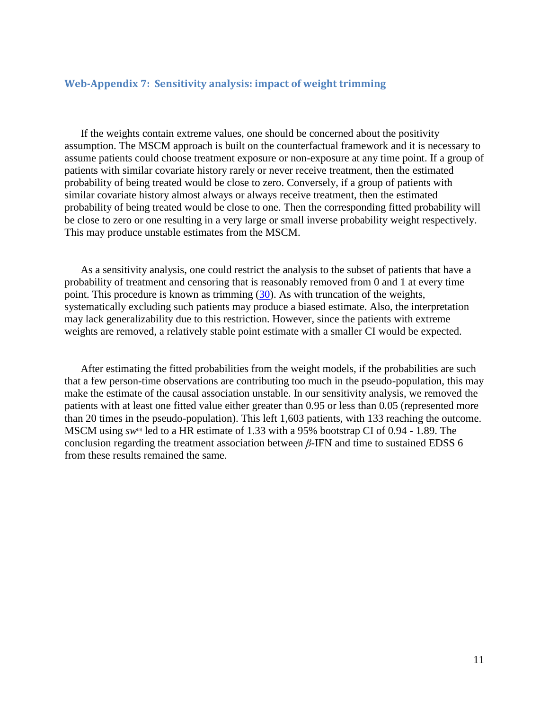## **Web-Appendix 7: Sensitivity analysis: impact of weight trimming**

If the weights contain extreme values, one should be concerned about the positivity assumption. The MSCM approach is built on the counterfactual framework and it is necessary to assume patients could choose treatment exposure or non-exposure at any time point. If a group of patients with similar covariate history rarely or never receive treatment, then the estimated probability of being treated would be close to zero. Conversely, if a group of patients with similar covariate history almost always or always receive treatment, then the estimated probability of being treated would be close to one. Then the corresponding fitted probability will be close to zero or one resulting in a very large or small inverse probability weight respectively. This may produce unstable estimates from the MSCM.

As a sensitivity analysis, one could restrict the analysis to the subset of patients that have a probability of treatment and censoring that is reasonably removed from 0 and 1 at every time point. This procedure is known as trimming (30). As with truncation of the weights, systematically excluding such patients may produce a biased estimate. Also, the interpretation may lack generalizability due to this restriction. However, since the patients with extreme weights are removed, a relatively stable point estimate with a smaller CI would be expected.

After estimating the fitted probabilities from the weight models, if the probabilities are such that a few person-time observations are contributing too much in the pseudo-population, this may make the estimate of the causal association unstable. In our sensitivity analysis, we removed the patients with at least one fitted value either greater than 0*.*95 or less than 0*.*05 (represented more than 20 times in the pseudo-population). This left 1,603 patients, with 133 reaching the outcome. MSCM using  $sw^{\omega}$  led to a HR estimate of 1.33 with a 95% bootstrap CI of 0.94 - 1.89. The conclusion regarding the treatment association between *β*-IFN and time to sustained EDSS 6 from these results remained the same.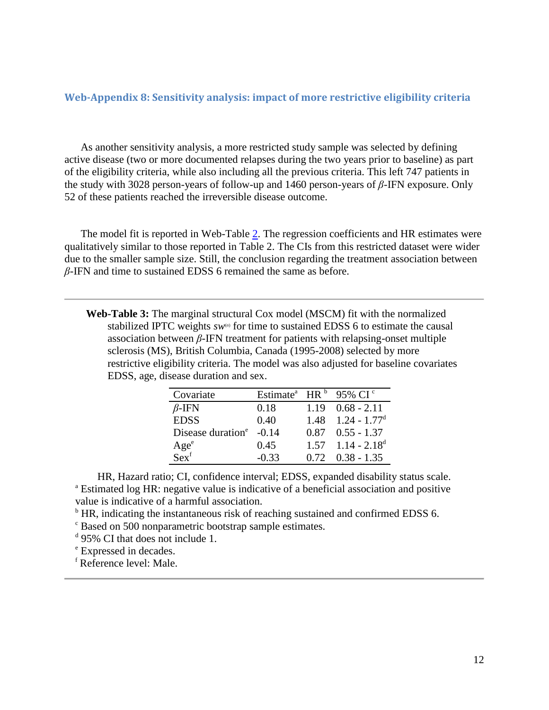### **Web-Appendix 8: Sensitivity analysis: impact of more restrictive eligibility criteria**

As another sensitivity analysis, a more restricted study sample was selected by defining active disease (two or more documented relapses during the two years prior to baseline) as part of the eligibility criteria, while also including all the previous criteria. This left 747 patients in the study with 3028 person-years of follow-up and 1460 person-years of *β*-IFN exposure. Only 52 of these patients reached the irreversible disease outcome.

The model fit is reported in Web-Table 2. The regression coefficients and HR estimates were qualitatively similar to those reported in Table 2. The CIs from this restricted dataset were wider due to the smaller sample size. Still, the conclusion regarding the treatment association between *β*-IFN and time to sustained EDSS 6 remained the same as before.

**Web-Table 3:** The marginal structural Cox model (MSCM) fit with the normalized stabilized IPTC weights  $sw^{(n)}$  for time to sustained EDSS 6 to estimate the causal association between *β*-IFN treatment for patients with relapsing-onset multiple sclerosis (MS), British Columbia, Canada (1995-2008) selected by more restrictive eligibility criteria. The model was also adjusted for baseline covariates EDSS, age, disease duration and sex.

| Covariate                     | Estimate <sup>a</sup> HR $b$ |      | 95% CI $\degree$           |
|-------------------------------|------------------------------|------|----------------------------|
| $\beta$ -IFN                  | 0.18                         | 1.19 | $0.68 - 2.11$              |
| <b>EDSS</b>                   | 0.40                         | 1.48 | $1.24 - 1.77$ <sup>d</sup> |
| Disease duration <sup>e</sup> | $-0.14$                      |      | $0.87$ $0.55 - 1.37$       |
| Age <sup>e</sup>              | 0.45                         | 1.57 | $1.14 - 2.18^d$            |
| Sex <sup>f</sup>              | $-0.33$                      | 0.72 | $0.38 - 1.35$              |

HR, Hazard ratio; CI, confidence interval; EDSS, expanded disability status scale. <sup>a</sup> Estimated log HR: negative value is indicative of a beneficial association and positive value is indicative of a harmful association.

 $\rm{^b}$  HR, indicating the instantaneous risk of reaching sustained and confirmed EDSS 6.

<sup>c</sup> Based on 500 nonparametric bootstrap sample estimates.

<sup>d</sup> 95% CI that does not include 1.

<sup>e</sup> Expressed in decades.

<sup>f</sup> Reference level: Male.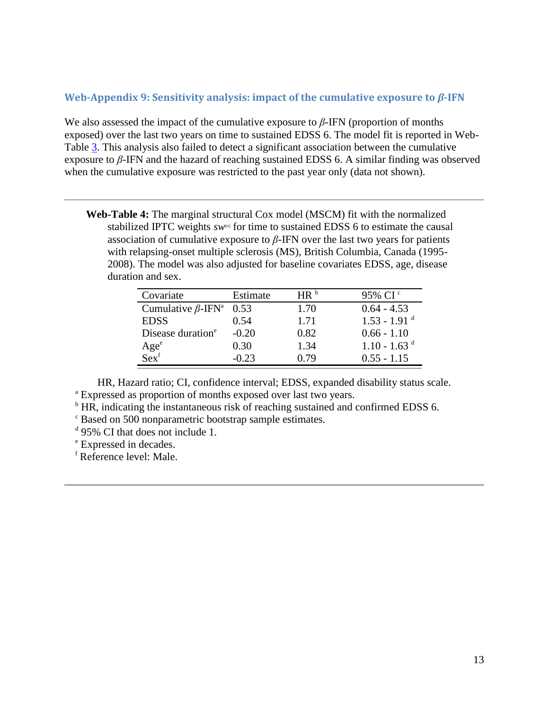## **Web-Appendix 9: Sensitivity analysis: impact of the cumulative exposure to** *β***-IFN**

We also assessed the impact of the cumulative exposure to *β*-IFN (proportion of months exposed) over the last two years on time to sustained EDSS 6. The model fit is reported in Web-Table  $\overline{3}$ . This analysis also failed to detect a significant association between the cumulative exposure to *β*-IFN and the hazard of reaching sustained EDSS 6. A similar finding was observed when the cumulative exposure was restricted to the past year only (data not shown).

**Web-Table 4:** The marginal structural Cox model (MSCM) fit with the normalized stabilized IPTC weights  $sw^{(n)}$  for time to sustained EDSS 6 to estimate the causal association of cumulative exposure to  $\beta$ -IFN over the last two years for patients with relapsing-onset multiple sclerosis (MS), British Columbia, Canada (1995- 2008). The model was also adjusted for baseline covariates EDSS, age, disease duration and sex.

| Covariate                            | Estimate | HR <sup>b</sup> | 95% CI <sup>c</sup>        |
|--------------------------------------|----------|-----------------|----------------------------|
| Cumulative $\beta$ -IFN <sup>a</sup> | 0.53     | 1.70            | $0.64 - 4.53$              |
| <b>EDSS</b>                          | 0.54     | 1.71            | $1.53 - 1.91$ <sup>d</sup> |
| Disease duration <sup>e</sup>        | $-0.20$  | 0.82            | $0.66 - 1.10$              |
| Age <sup>e</sup>                     | 0.30     | 1.34            | $1.10 - 1.63$ <sup>d</sup> |
| Sex <sup>f</sup>                     | $-0.23$  | በ 79            | $0.55 - 1.15$              |

HR, Hazard ratio; CI, confidence interval; EDSS, expanded disability status scale. <sup>a</sup> Expressed as proportion of months exposed over last two years.

<sup>b</sup> HR, indicating the instantaneous risk of reaching sustained and confirmed EDSS 6.

<sup>c</sup> Based on 500 nonparametric bootstrap sample estimates.

<sup>d</sup> 95% CI that does not include 1.

<sup>e</sup> Expressed in decades.

<sup>f</sup> Reference level: Male.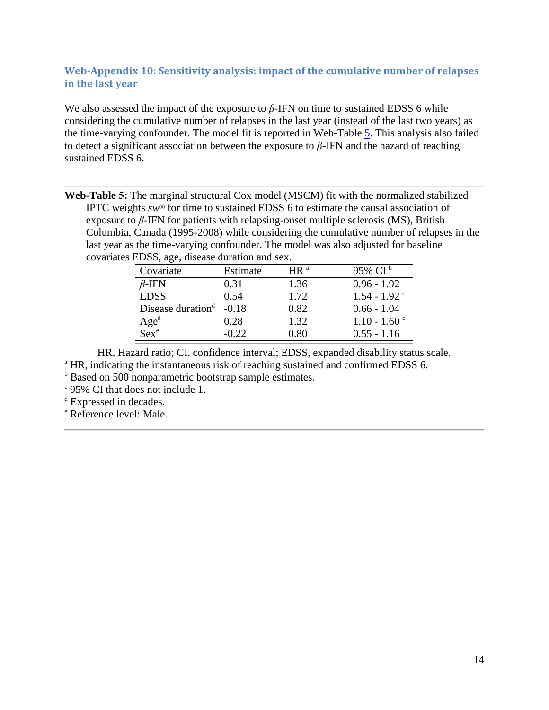# **Web-Appendix 10: Sensitivity analysis: impact of the cumulative number of relapses in the last year**

We also assessed the impact of the exposure to *β*-IFN on time to sustained EDSS 6 while considering the cumulative number of relapses in the last year (instead of the last two years) as the time-varying confounder. The model fit is reported in Web-Table 5. This analysis also failed to detect a significant association between the exposure to *β*-IFN and the hazard of reaching sustained EDSS 6.

**Web-Table 5:** The marginal structural Cox model (MSCM) fit with the normalized stabilized IPTC weights  $sw^{(n)}$  for time to sustained EDSS 6 to estimate the causal association of exposure to  $\beta$ -IFN for patients with relapsing-onset multiple sclerosis (MS), British Columbia, Canada (1995-2008) while considering the cumulative number of relapses in the last year as the time-varying confounder. The model was also adjusted for baseline covariates EDSS, age, disease duration and sex.

| Covariate                     | Estimate | $HR^a$ | 95% CI <sup>b</sup>        |
|-------------------------------|----------|--------|----------------------------|
| $\beta$ -IFN                  | 0.31     | 1.36   | $0.96 - 1.92$              |
| <b>EDSS</b>                   | 0.54     | 1.72   | $1.54 - 1.92$ <sup>c</sup> |
| Disease duration <sup>d</sup> | $-0.18$  | 0.82   | $0.66 - 1.04$              |
| Age <sup>d</sup>              | 0.28     | 1.32   | $1.10 - 1.60$ <sup>c</sup> |
| $Sex^e$                       | $-0.22$  | 0.80   | $0.55 - 1.16$              |

HR, Hazard ratio; CI, confidence interval; EDSS, expanded disability status scale. <sup>a</sup> HR, indicating the instantaneous risk of reaching sustained and confirmed EDSS 6.

**b** Based on 500 nonparametric bootstrap sample estimates.

c 95% CI that does not include 1.

<sup>d</sup> Expressed in decades.

<sup>e</sup> Reference level: Male.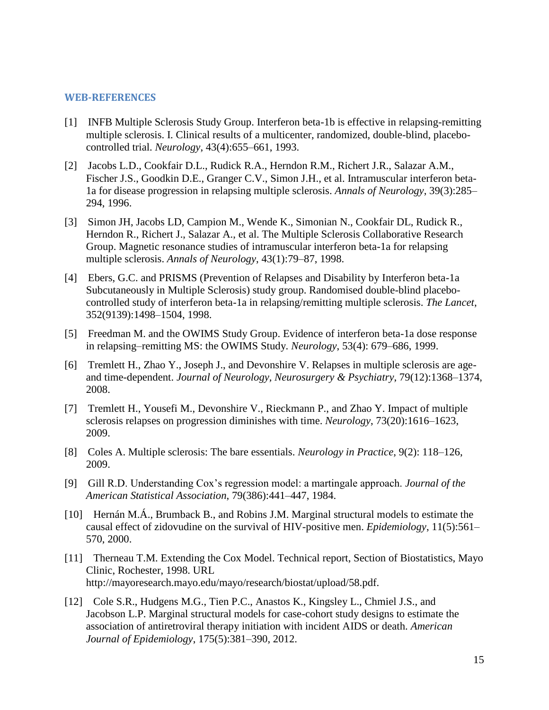#### **WEB-REFERENCES**

- [1] INFB Multiple Sclerosis Study Group. Interferon beta-1b is effective in relapsing-remitting multiple sclerosis. I. Clinical results of a multicenter, randomized, double-blind, placebocontrolled trial. *Neurology*, 43(4):655–661, 1993.
- [2] Jacobs L.D., Cookfair D.L., Rudick R.A., Herndon R.M., Richert J.R., Salazar A.M., Fischer J.S., Goodkin D.E., Granger C.V., Simon J.H., et al. Intramuscular interferon beta-1a for disease progression in relapsing multiple sclerosis. *Annals of Neurology*, 39(3):285– 294, 1996.
- [3] Simon JH, Jacobs LD, Campion M., Wende K., Simonian N., Cookfair DL, Rudick R., Herndon R., Richert J., Salazar A., et al. The Multiple Sclerosis Collaborative Research Group. Magnetic resonance studies of intramuscular interferon beta-1a for relapsing multiple sclerosis. *Annals of Neurology*, 43(1):79–87, 1998.
- [4] Ebers, G.C. and PRISMS (Prevention of Relapses and Disability by Interferon beta-1a Subcutaneously in Multiple Sclerosis) study group. Randomised double-blind placebocontrolled study of interferon beta-1a in relapsing/remitting multiple sclerosis. *The Lancet*, 352(9139):1498–1504, 1998.
- [5] Freedman M. and the OWIMS Study Group. Evidence of interferon beta-1a dose response in relapsing–remitting MS: the OWIMS Study. *Neurology*, 53(4): 679–686, 1999.
- [6] Tremlett H., Zhao Y., Joseph J., and Devonshire V. Relapses in multiple sclerosis are ageand time-dependent. *Journal of Neurology, Neurosurgery & Psychiatry*, 79(12):1368–1374, 2008.
- [7] Tremlett H., Yousefi M., Devonshire V., Rieckmann P., and Zhao Y. Impact of multiple sclerosis relapses on progression diminishes with time. *Neurology*, 73(20):1616–1623, 2009.
- [8] Coles A. Multiple sclerosis: The bare essentials. *Neurology in Practice*, 9(2): 118–126, 2009.
- [9] Gill R.D. Understanding Cox's regression model: a martingale approach. *Journal of the American Statistical Association*, 79(386):441–447, 1984.
- [10] Hernán M.Á., Brumback B., and Robins J.M. Marginal structural models to estimate the causal effect of zidovudine on the survival of HIV-positive men. *Epidemiology*, 11(5):561– 570, 2000.
- [11] Therneau T.M. Extending the Cox Model. Technical report, Section of Biostatistics, Mayo Clinic, Rochester, 1998. URL http://mayoresearch.mayo.edu/mayo/research/biostat/upload/58.pdf.
- [12] Cole S.R., Hudgens M.G., Tien P.C., Anastos K., Kingsley L., Chmiel J.S., and Jacobson L.P. Marginal structural models for case-cohort study designs to estimate the association of antiretroviral therapy initiation with incident AIDS or death. *American Journal of Epidemiology*, 175(5):381–390, 2012.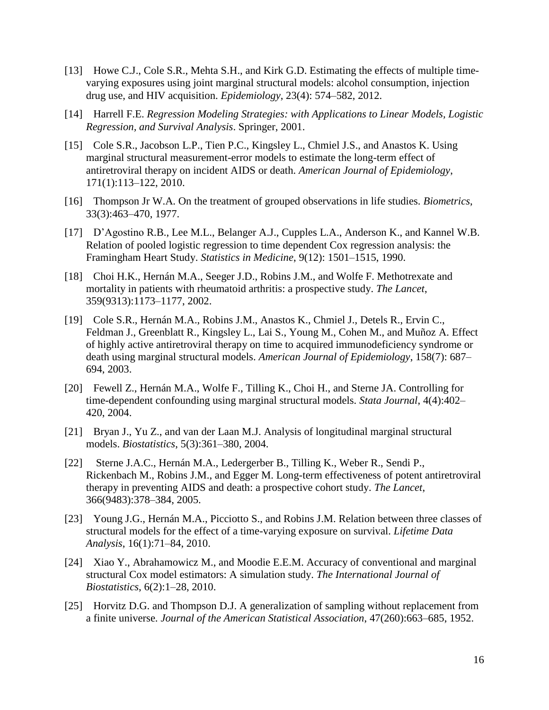- [13] Howe C.J., Cole S.R., Mehta S.H., and Kirk G.D. Estimating the effects of multiple timevarying exposures using joint marginal structural models: alcohol consumption, injection drug use, and HIV acquisition. *Epidemiology*, 23(4): 574–582, 2012.
- [14] Harrell F.E. *Regression Modeling Strategies: with Applications to Linear Models, Logistic Regression, and Survival Analysis*. Springer, 2001.
- [15] Cole S.R., Jacobson L.P., Tien P.C., Kingsley L., Chmiel J.S., and Anastos K. Using marginal structural measurement-error models to estimate the long-term effect of antiretroviral therapy on incident AIDS or death. *American Journal of Epidemiology*, 171(1):113–122, 2010.
- [16] Thompson Jr W.A. On the treatment of grouped observations in life studies. *Biometrics*, 33(3):463–470, 1977.
- [17] D'Agostino R.B., Lee M.L., Belanger A.J., Cupples L.A., Anderson K., and Kannel W.B. Relation of pooled logistic regression to time dependent Cox regression analysis: the Framingham Heart Study. *Statistics in Medicine*, 9(12): 1501–1515, 1990.
- [18] Choi H.K., Hernán M.A., Seeger J.D., Robins J.M., and Wolfe F. Methotrexate and mortality in patients with rheumatoid arthritis: a prospective study. *The Lancet*, 359(9313):1173–1177, 2002.
- [19] Cole S.R., Hernán M.A., Robins J.M., Anastos K., Chmiel J., Detels R., Ervin C., Feldman J., Greenblatt R., Kingsley L., Lai S., Young M., Cohen M., and Muñoz A. Effect of highly active antiretroviral therapy on time to acquired immunodeficiency syndrome or death using marginal structural models. *American Journal of Epidemiology*, 158(7): 687– 694, 2003.
- [20] Fewell Z., Hernán M.A., Wolfe F., Tilling K., Choi H., and Sterne JA. Controlling for time-dependent confounding using marginal structural models. *Stata Journal*, 4(4):402– 420, 2004.
- [21] Bryan J., Yu Z., and van der Laan M.J. Analysis of longitudinal marginal structural models. *Biostatistics*, 5(3):361–380, 2004.
- [22] Sterne J.A.C., Hernán M.A., Ledergerber B., Tilling K., Weber R., Sendi P., Rickenbach M., Robins J.M., and Egger M. Long-term effectiveness of potent antiretroviral therapy in preventing AIDS and death: a prospective cohort study. *The Lancet*, 366(9483):378–384, 2005.
- [23] Young J.G., Hernán M.A., Picciotto S., and Robins J.M. Relation between three classes of structural models for the effect of a time-varying exposure on survival. *Lifetime Data Analysis*, 16(1):71–84, 2010.
- [24] Xiao Y., Abrahamowicz M., and Moodie E.E.M. Accuracy of conventional and marginal structural Cox model estimators: A simulation study. *The International Journal of Biostatistics*, 6(2):1–28, 2010.
- [25] Horvitz D.G. and Thompson D.J. A generalization of sampling without replacement from a finite universe. *Journal of the American Statistical Association*, 47(260):663–685, 1952.